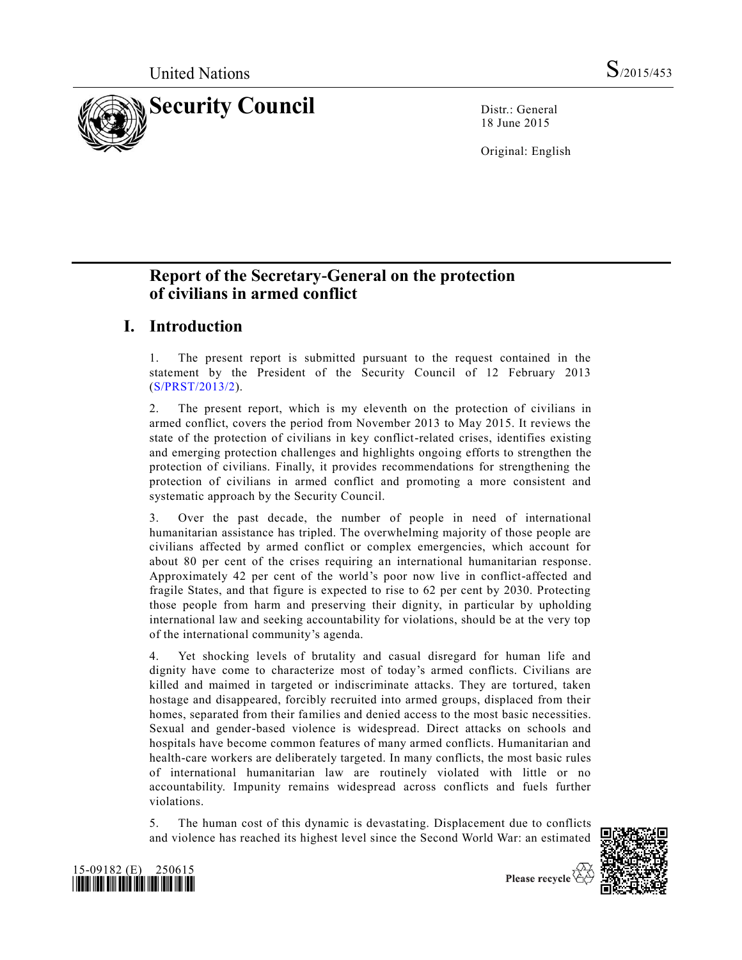

18 June 2015

Original: English

# **Report of the Secretary-General on the protection of civilians in armed conflict**

# **I. Introduction**

1. The present report is submitted pursuant to the request contained in the statement by the President of the Security Council of 12 February 2013 [\(S/PRST/2013/2\)](http://undocs.org/S/PRST/2013/2).

2. The present report, which is my eleventh on the protection of civilians in armed conflict, covers the period from November 2013 to May 2015. It reviews the state of the protection of civilians in key conflict-related crises, identifies existing and emerging protection challenges and highlights ongoing efforts to strengthen the protection of civilians. Finally, it provides recommendations for strengthening the protection of civilians in armed conflict and promoting a more consistent and systematic approach by the Security Council.

3. Over the past decade, the number of people in need of international humanitarian assistance has tripled. The overwhelming majority of those people are civilians affected by armed conflict or complex emergencies, which account for about 80 per cent of the crises requiring an international humanitarian response. Approximately 42 per cent of the world's poor now live in conflict-affected and fragile States, and that figure is expected to rise to 62 per cent by 2030. Protecting those people from harm and preserving their dignity, in particular by upholding international law and seeking accountability for violations, should be at the very top of the international community's agenda.

4. Yet shocking levels of brutality and casual disregard for human life and dignity have come to characterize most of today's armed conflicts. Civilians are killed and maimed in targeted or indiscriminate attacks. They are tortured, taken hostage and disappeared, forcibly recruited into armed groups, displaced from their homes, separated from their families and denied access to the most basic necessities. Sexual and gender-based violence is widespread. Direct attacks on schools and hospitals have become common features of many armed conflicts. Humanitarian and health-care workers are deliberately targeted. In many conflicts, the most basic rules of international humanitarian law are routinely violated with little or no accountability. Impunity remains widespread across conflicts and fuels further violations.

5. The human cost of this dynamic is devastating. Displacement due to conflicts and violence has reached its highest level since the Second World War: an estimated





Please recycle  $\overline{\mathfrak{S}}$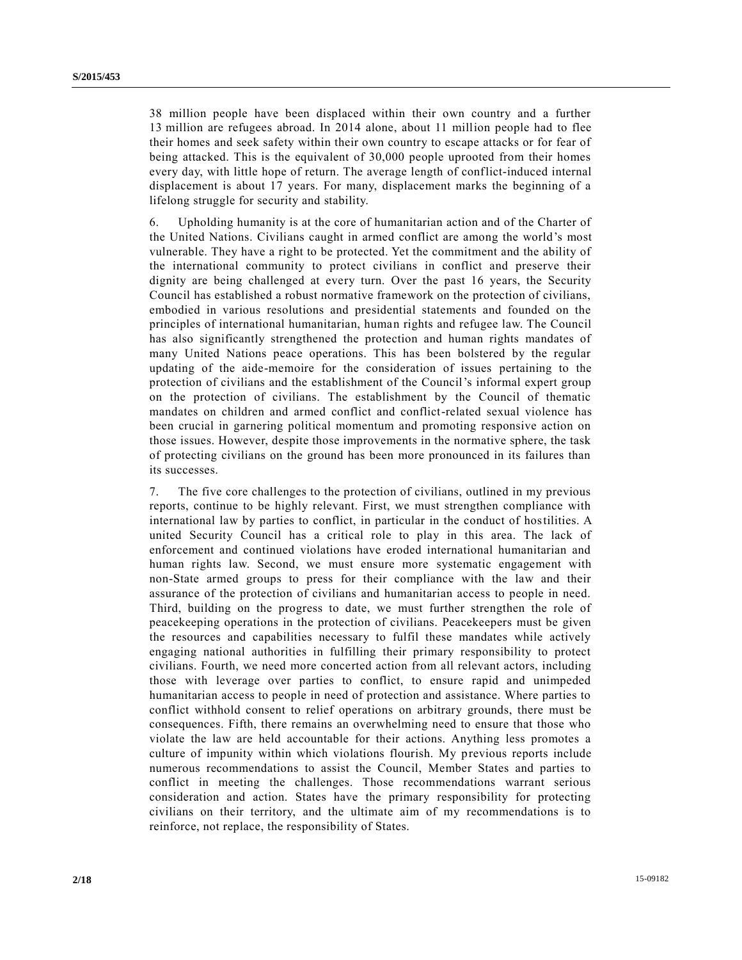38 million people have been displaced within their own country and a further 13 million are refugees abroad. In 2014 alone, about 11 million people had to flee their homes and seek safety within their own country to escape attacks or for fear of being attacked. This is the equivalent of 30,000 people uprooted from their homes every day, with little hope of return. The average length of conflict-induced internal displacement is about 17 years. For many, displacement marks the beginning of a lifelong struggle for security and stability.

6. Upholding humanity is at the core of humanitarian action and of the Charter of the United Nations. Civilians caught in armed conflict are among the world's most vulnerable. They have a right to be protected. Yet the commitment and the ability of the international community to protect civilians in conflict and preserve their dignity are being challenged at every turn. Over the past 16 years, the Security Council has established a robust normative framework on the protection of civilians, embodied in various resolutions and presidential statements and founded on the principles of international humanitarian, human rights and refugee law. The Council has also significantly strengthened the protection and human rights mandates of many United Nations peace operations. This has been bolstered by the regular updating of the aide-memoire for the consideration of issues pertaining to the protection of civilians and the establishment of the Council's informal expert group on the protection of civilians. The establishment by the Council of thematic mandates on children and armed conflict and conflict-related sexual violence has been crucial in garnering political momentum and promoting responsive action on those issues. However, despite those improvements in the normative sphere, the task of protecting civilians on the ground has been more pronounced in its failures than its successes.

7. The five core challenges to the protection of civilians, outlined in my previous reports, continue to be highly relevant. First, we must strengthen compliance with international law by parties to conflict, in particular in the conduct of hostilities. A united Security Council has a critical role to play in this area. The lack of enforcement and continued violations have eroded international humanitarian and human rights law. Second, we must ensure more systematic engagement with non-State armed groups to press for their compliance with the law and their assurance of the protection of civilians and humanitarian access to people in need. Third, building on the progress to date, we must further strengthen the role of peacekeeping operations in the protection of civilians. Peacekeepers must be given the resources and capabilities necessary to fulfil these mandates while actively engaging national authorities in fulfilling their primary responsibility to protect civilians. Fourth, we need more concerted action from all relevant actors, including those with leverage over parties to conflict, to ensure rapid and unimpeded humanitarian access to people in need of protection and assistance. Where parties to conflict withhold consent to relief operations on arbitrary grounds, there must be consequences. Fifth, there remains an overwhelming need to ensure that those who violate the law are held accountable for their actions. Anything less promotes a culture of impunity within which violations flourish. My previous reports include numerous recommendations to assist the Council, Member States and parties to conflict in meeting the challenges. Those recommendations warrant serious consideration and action. States have the primary responsibility for protecting civilians on their territory, and the ultimate aim of my recommendations is to reinforce, not replace, the responsibility of States.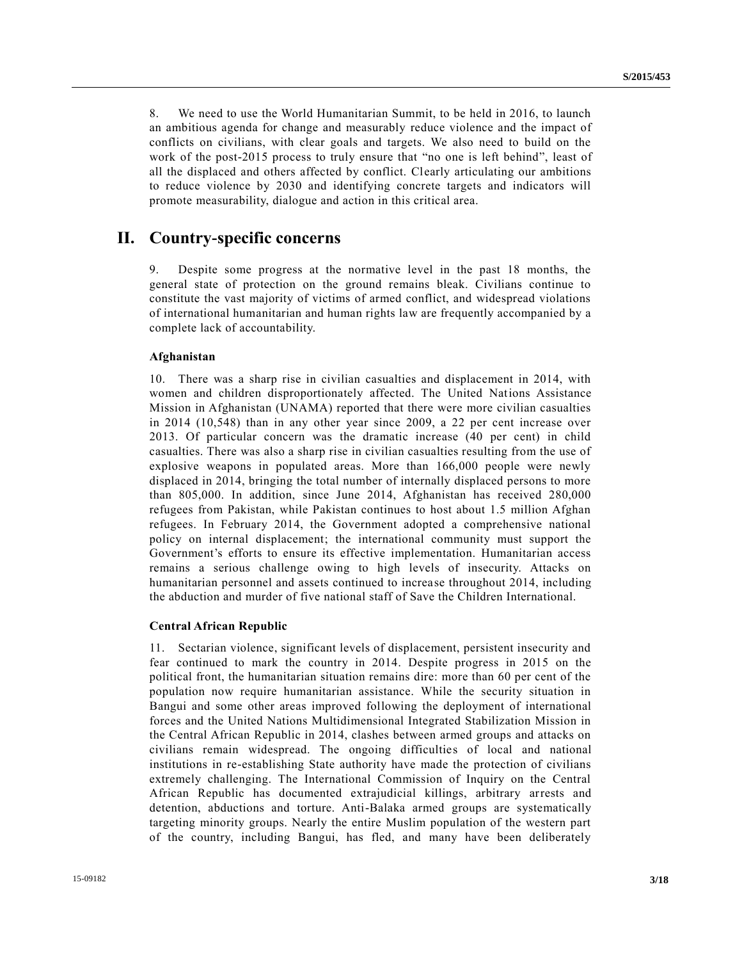8. We need to use the World Humanitarian Summit, to be held in 2016, to launch an ambitious agenda for change and measurably reduce violence and the impact of conflicts on civilians, with clear goals and targets. We also need to build on the work of the post-2015 process to truly ensure that "no one is left behind", least of all the displaced and others affected by conflict. Clearly articulating our ambitions to reduce violence by 2030 and identifying concrete targets and indicators will promote measurability, dialogue and action in this critical area.

# **II. Country-specific concerns**

9. Despite some progress at the normative level in the past 18 months, the general state of protection on the ground remains bleak. Civilians continue to constitute the vast majority of victims of armed conflict, and widespread violations of international humanitarian and human rights law are frequently accompanied by a complete lack of accountability.

### **Afghanistan**

10. There was a sharp rise in civilian casualties and displacement in 2014, with women and children disproportionately affected. The United Nations Assistance Mission in Afghanistan (UNAMA) reported that there were more civilian casualties in 2014 (10,548) than in any other year since 2009, a 22 per cent increase over 2013. Of particular concern was the dramatic increase (40 per cent) in child casualties. There was also a sharp rise in civilian casualties resulting from the use of explosive weapons in populated areas. More than 166,000 people were newly displaced in 2014, bringing the total number of internally displaced persons to more than 805,000. In addition, since June 2014, Afghanistan has received 280,000 refugees from Pakistan, while Pakistan continues to host about 1.5 million Afghan refugees. In February 2014, the Government adopted a comprehensive national policy on internal displacement; the international community must support the Government's efforts to ensure its effective implementation. Humanitarian access remains a serious challenge owing to high levels of insecurity. Attacks on humanitarian personnel and assets continued to increase throughout 2014, including the abduction and murder of five national staff of Save the Children International.

### **Central African Republic**

11. Sectarian violence, significant levels of displacement, persistent insecurity and fear continued to mark the country in 2014. Despite progress in 2015 on the political front, the humanitarian situation remains dire: more than 60 per cent of the population now require humanitarian assistance. While the security situation in Bangui and some other areas improved following the deployment of international forces and the United Nations Multidimensional Integrated Stabilization Mission in the Central African Republic in 2014, clashes between armed groups and attacks on civilians remain widespread. The ongoing difficulties of local and national institutions in re-establishing State authority have made the protection of civilians extremely challenging. The International Commission of Inquiry on the Central African Republic has documented extrajudicial killings, arbitrary arrests and detention, abductions and torture. Anti-Balaka armed groups are systematically targeting minority groups. Nearly the entire Muslim population of the western part of the country, including Bangui, has fled, and many have been deliberately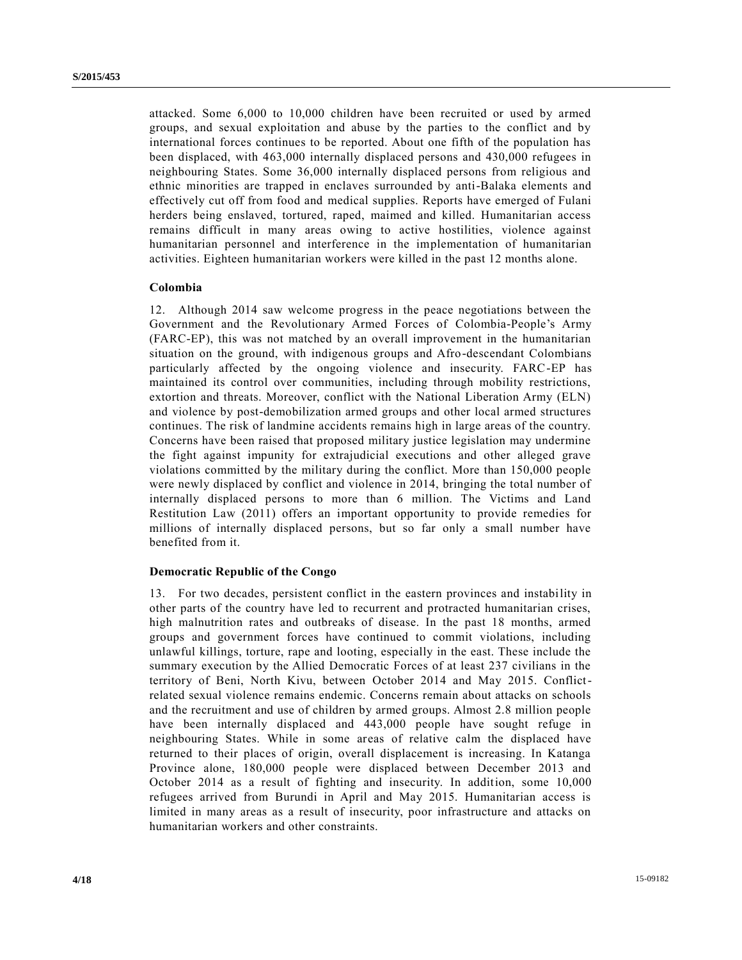attacked. Some 6,000 to 10,000 children have been recruited or used by armed groups, and sexual exploitation and abuse by the parties to the conflict and by international forces continues to be reported. About one fifth of the population has been displaced, with 463,000 internally displaced persons and 430,000 refugees in neighbouring States. Some 36,000 internally displaced persons from religious and ethnic minorities are trapped in enclaves surrounded by anti-Balaka elements and effectively cut off from food and medical supplies. Reports have emerged of Fulani herders being enslaved, tortured, raped, maimed and killed. Humanitarian access remains difficult in many areas owing to active hostilities, violence against humanitarian personnel and interference in the implementation of humanitarian activities. Eighteen humanitarian workers were killed in the past 12 months alone.

### **Colombia**

12. Although 2014 saw welcome progress in the peace negotiations between the Government and the Revolutionary Armed Forces of Colombia-People's Army (FARC-EP), this was not matched by an overall improvement in the humanitarian situation on the ground, with indigenous groups and Afro-descendant Colombians particularly affected by the ongoing violence and insecurity. FARC-EP has maintained its control over communities, including through mobility restrictions, extortion and threats. Moreover, conflict with the National Liberation Army (ELN) and violence by post-demobilization armed groups and other local armed structures continues. The risk of landmine accidents remains high in large areas of the country. Concerns have been raised that proposed military justice legislation may undermine the fight against impunity for extrajudicial executions and other alleged grave violations committed by the military during the conflict. More than 150,000 people were newly displaced by conflict and violence in 2014, bringing the total number of internally displaced persons to more than 6 million. The Victims and Land Restitution Law (2011) offers an important opportunity to provide remedies for millions of internally displaced persons, but so far only a small number have benefited from it.

### **Democratic Republic of the Congo**

13. For two decades, persistent conflict in the eastern provinces and instability in other parts of the country have led to recurrent and protracted humanitarian crises, high malnutrition rates and outbreaks of disease. In the past 18 months, armed groups and government forces have continued to commit violations, including unlawful killings, torture, rape and looting, especially in the east. These include the summary execution by the Allied Democratic Forces of at least 237 civilians in the territory of Beni, North Kivu, between October 2014 and May 2015. Conflictrelated sexual violence remains endemic. Concerns remain about attacks on schools and the recruitment and use of children by armed groups. Almost 2.8 million people have been internally displaced and 443,000 people have sought refuge in neighbouring States. While in some areas of relative calm the displaced have returned to their places of origin, overall displacement is increasing. In Katanga Province alone, 180,000 people were displaced between December 2013 and October 2014 as a result of fighting and insecurity. In addition, some 10,000 refugees arrived from Burundi in April and May 2015. Humanitarian access is limited in many areas as a result of insecurity, poor infrastructure and attacks on humanitarian workers and other constraints.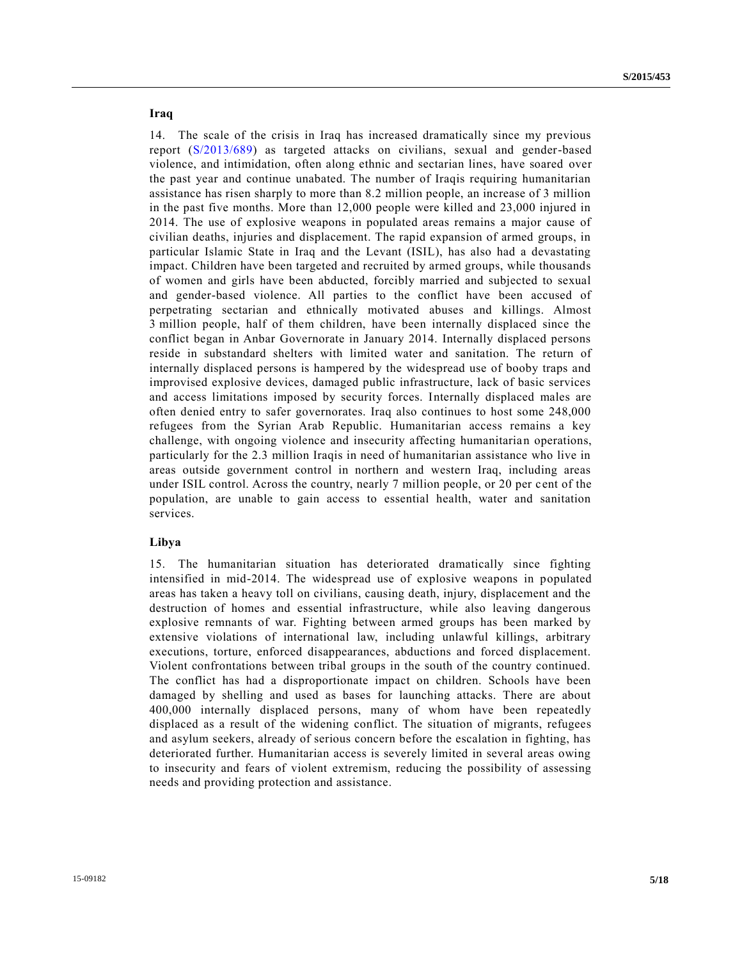## **Iraq**

14. The scale of the crisis in Iraq has increased dramatically since my previous report [\(S/2013/689\)](http://undocs.org/S/2013/689) as targeted attacks on civilians, sexual and gender-based violence, and intimidation, often along ethnic and sectarian lines, have soared over the past year and continue unabated. The number of Iraqis requiring humanitarian assistance has risen sharply to more than 8.2 million people, an increase of 3 million in the past five months. More than 12,000 people were killed and 23,000 injured in 2014. The use of explosive weapons in populated areas remains a major cause of civilian deaths, injuries and displacement. The rapid expansion of armed groups, in particular Islamic State in Iraq and the Levant (ISIL), has also had a devastating impact. Children have been targeted and recruited by armed groups, while thousands of women and girls have been abducted, forcibly married and subjected to sexual and gender-based violence. All parties to the conflict have been accused of perpetrating sectarian and ethnically motivated abuses and killings. Almost 3 million people, half of them children, have been internally displaced since the conflict began in Anbar Governorate in January 2014. Internally displaced persons reside in substandard shelters with limited water and sanitation. The return of internally displaced persons is hampered by the widespread use of booby traps and improvised explosive devices, damaged public infrastructure, lack of basic services and access limitations imposed by security forces. Internally displaced males are often denied entry to safer governorates. Iraq also continues to host some 248,000 refugees from the Syrian Arab Republic. Humanitarian access remains a key challenge, with ongoing violence and insecurity affecting humanitarian operations, particularly for the 2.3 million Iraqis in need of humanitarian assistance who live in areas outside government control in northern and western Iraq, including areas under ISIL control. Across the country, nearly 7 million people, or 20 per cent of the population, are unable to gain access to essential health, water and sanitation services.

### **Libya**

15. The humanitarian situation has deteriorated dramatically since fighting intensified in mid-2014. The widespread use of explosive weapons in populated areas has taken a heavy toll on civilians, causing death, injury, displacement and the destruction of homes and essential infrastructure, while also leaving dangerous explosive remnants of war. Fighting between armed groups has been marked by extensive violations of international law, including unlawful killings, arbitrary executions, torture, enforced disappearances, abductions and forced displacement. Violent confrontations between tribal groups in the south of the country continued. The conflict has had a disproportionate impact on children. Schools have been damaged by shelling and used as bases for launching attacks. There are about 400,000 internally displaced persons, many of whom have been repeatedly displaced as a result of the widening conflict. The situation of migrants, refugees and asylum seekers, already of serious concern before the escalation in fighting, has deteriorated further. Humanitarian access is severely limited in several areas owing to insecurity and fears of violent extremism, reducing the possibility of assessing needs and providing protection and assistance.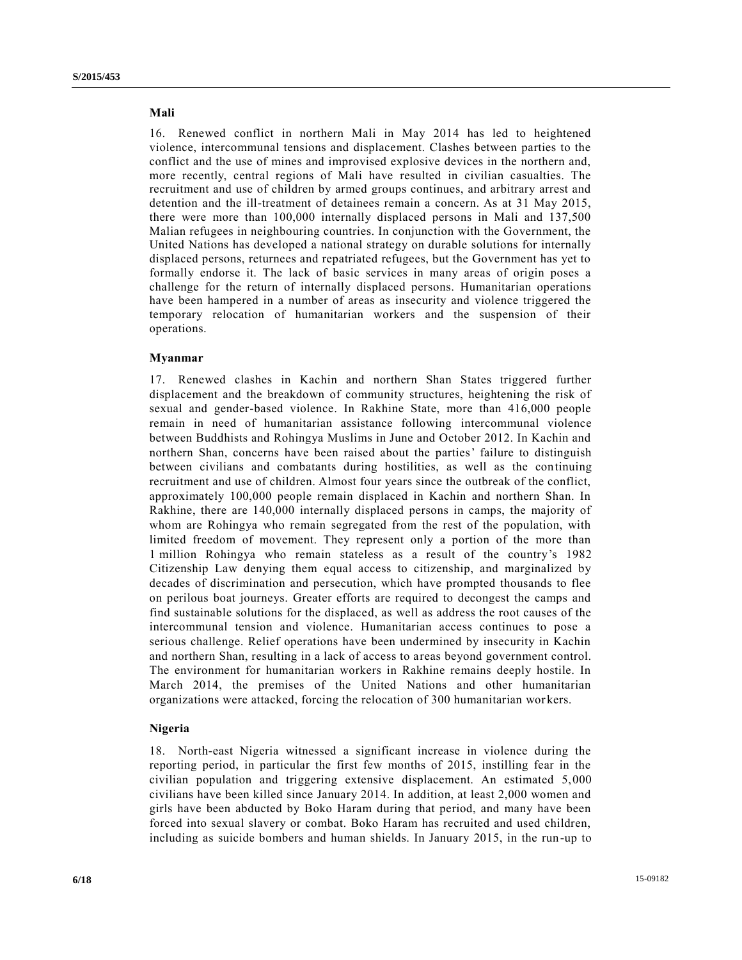## **Mali**

16. Renewed conflict in northern Mali in May 2014 has led to heightened violence, intercommunal tensions and displacement. Clashes between parties to the conflict and the use of mines and improvised explosive devices in the northern and, more recently, central regions of Mali have resulted in civilian casualties. The recruitment and use of children by armed groups continues, and arbitrary arrest and detention and the ill-treatment of detainees remain a concern. As at 31 May 2015, there were more than 100,000 internally displaced persons in Mali and 137,500 Malian refugees in neighbouring countries. In conjunction with the Government, the United Nations has developed a national strategy on durable solutions for internally displaced persons, returnees and repatriated refugees, but the Government has yet to formally endorse it. The lack of basic services in many areas of origin poses a challenge for the return of internally displaced persons. Humanitarian operations have been hampered in a number of areas as insecurity and violence triggered the temporary relocation of humanitarian workers and the suspension of their operations.

### **Myanmar**

17. Renewed clashes in Kachin and northern Shan States triggered further displacement and the breakdown of community structures, heightening the risk of sexual and gender-based violence. In Rakhine State, more than 416,000 people remain in need of humanitarian assistance following intercommunal violence between Buddhists and Rohingya Muslims in June and October 2012. In Kachin and northern Shan, concerns have been raised about the parties' failure to distinguish between civilians and combatants during hostilities, as well as the continuing recruitment and use of children. Almost four years since the outbreak of the conflict, approximately 100,000 people remain displaced in Kachin and northern Shan. In Rakhine, there are 140,000 internally displaced persons in camps, the majority of whom are Rohingya who remain segregated from the rest of the population, with limited freedom of movement. They represent only a portion of the more than 1 million Rohingya who remain stateless as a result of the country's 1982 Citizenship Law denying them equal access to citizenship, and marginalized by decades of discrimination and persecution, which have prompted thousands to flee on perilous boat journeys. Greater efforts are required to decongest the camps and find sustainable solutions for the displaced, as well as address the root causes of the intercommunal tension and violence. Humanitarian access continues to pose a serious challenge. Relief operations have been undermined by insecurity in Kachin and northern Shan, resulting in a lack of access to areas beyond government control. The environment for humanitarian workers in Rakhine remains deeply hostile. In March 2014, the premises of the United Nations and other humanitarian organizations were attacked, forcing the relocation of 300 humanitarian wor kers.

### **Nigeria**

18. North-east Nigeria witnessed a significant increase in violence during the reporting period, in particular the first few months of 2015, instilling fear in the civilian population and triggering extensive displacement. An estimated 5,000 civilians have been killed since January 2014. In addition, at least 2,000 women and girls have been abducted by Boko Haram during that period, and many have been forced into sexual slavery or combat. Boko Haram has recruited and used children, including as suicide bombers and human shields. In January 2015, in the run -up to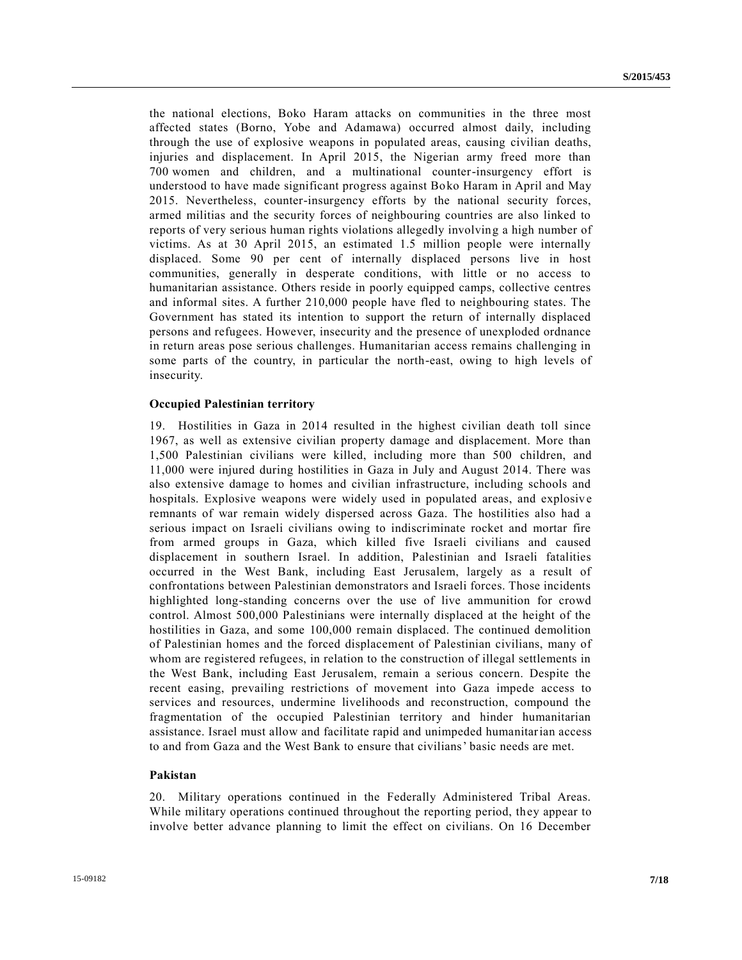the national elections, Boko Haram attacks on communities in the three most affected states (Borno, Yobe and Adamawa) occurred almost daily, including through the use of explosive weapons in populated areas, causing civilian deaths, injuries and displacement. In April 2015, the Nigerian army freed more than 700 women and children, and a multinational counter-insurgency effort is understood to have made significant progress against Boko Haram in April and May 2015. Nevertheless, counter-insurgency efforts by the national security forces, armed militias and the security forces of neighbouring countries are also linked to reports of very serious human rights violations allegedly involving a high number of victims. As at 30 April 2015, an estimated 1.5 million people were internally displaced. Some 90 per cent of internally displaced persons live in host communities, generally in desperate conditions, with little or no access to humanitarian assistance. Others reside in poorly equipped camps, collective centres and informal sites. A further 210,000 people have fled to neighbouring states. The Government has stated its intention to support the return of internally displaced persons and refugees. However, insecurity and the presence of unexploded ordnance in return areas pose serious challenges. Humanitarian access remains challenging in some parts of the country, in particular the north-east, owing to high levels of insecurity.

### **Occupied Palestinian territory**

19. Hostilities in Gaza in 2014 resulted in the highest civilian death toll since 1967, as well as extensive civilian property damage and displacement. More than 1,500 Palestinian civilians were killed, including more than 500 children, and 11,000 were injured during hostilities in Gaza in July and August 2014. There was also extensive damage to homes and civilian infrastructure, including schools and hospitals. Explosive weapons were widely used in populated areas, and explosive remnants of war remain widely dispersed across Gaza. The hostilities also had a serious impact on Israeli civilians owing to indiscriminate rocket and mortar fire from armed groups in Gaza, which killed five Israeli civilians and caused displacement in southern Israel. In addition, Palestinian and Israeli fatalities occurred in the West Bank, including East Jerusalem, largely as a result of confrontations between Palestinian demonstrators and Israeli forces. Those incidents highlighted long-standing concerns over the use of live ammunition for crowd control. Almost 500,000 Palestinians were internally displaced at the height of the hostilities in Gaza, and some 100,000 remain displaced. The continued demolition of Palestinian homes and the forced displacement of Palestinian civilians, many of whom are registered refugees, in relation to the construction of illegal settlements in the West Bank, including East Jerusalem, remain a serious concern. Despite the recent easing, prevailing restrictions of movement into Gaza impede access to services and resources, undermine livelihoods and reconstruction, compound the fragmentation of the occupied Palestinian territory and hinder humanitarian assistance. Israel must allow and facilitate rapid and unimpeded humanitarian access to and from Gaza and the West Bank to ensure that civilians' basic needs are met.

### **Pakistan**

20. Military operations continued in the Federally Administered Tribal Areas. While military operations continued throughout the reporting period, they appear to involve better advance planning to limit the effect on civilians. On 16 December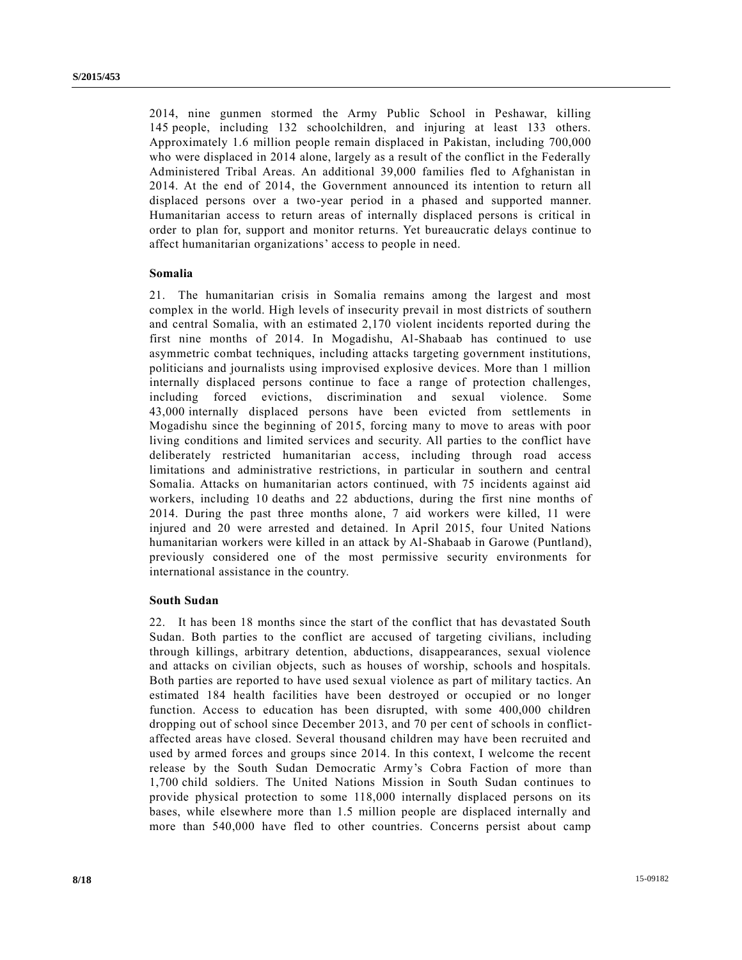2014, nine gunmen stormed the Army Public School in Peshawar, killing 145 people, including 132 schoolchildren, and injuring at least 133 others. Approximately 1.6 million people remain displaced in Pakistan, including 700,000 who were displaced in 2014 alone, largely as a result of the conflict in the Federally Administered Tribal Areas. An additional 39,000 families fled to Afghanistan in 2014. At the end of 2014, the Government announced its intention to return all displaced persons over a two-year period in a phased and supported manner. Humanitarian access to return areas of internally displaced persons is critical in order to plan for, support and monitor returns. Yet bureaucratic delays continue to affect humanitarian organizations' access to people in need.

## **Somalia**

21. The humanitarian crisis in Somalia remains among the largest and most complex in the world. High levels of insecurity prevail in most districts of southern and central Somalia, with an estimated 2,170 violent incidents reported during the first nine months of 2014. In Mogadishu, Al-Shabaab has continued to use asymmetric combat techniques, including attacks targeting government institutions, politicians and journalists using improvised explosive devices. More than 1 million internally displaced persons continue to face a range of protection challenges, including forced evictions, discrimination and sexual violence. Some 43,000 internally displaced persons have been evicted from settlements in Mogadishu since the beginning of 2015, forcing many to move to areas with poor living conditions and limited services and security. All parties to the conflict have deliberately restricted humanitarian access, including through road access limitations and administrative restrictions, in particular in southern and central Somalia. Attacks on humanitarian actors continued, with 75 incidents against aid workers, including 10 deaths and 22 abductions, during the first nine months of 2014. During the past three months alone, 7 aid workers were killed, 11 were injured and 20 were arrested and detained. In April 2015, four United Nations humanitarian workers were killed in an attack by Al-Shabaab in Garowe (Puntland), previously considered one of the most permissive security environments for international assistance in the country.

## **South Sudan**

22. It has been 18 months since the start of the conflict that has devastated South Sudan. Both parties to the conflict are accused of targeting civilians, including through killings, arbitrary detention, abductions, disappearances, sexual violence and attacks on civilian objects, such as houses of worship, schools and hospitals. Both parties are reported to have used sexual violence as part of military tactics. An estimated 184 health facilities have been destroyed or occupied or no longer function. Access to education has been disrupted, with some 400,000 children dropping out of school since December 2013, and 70 per cent of schools in conflictaffected areas have closed. Several thousand children may have been recruited and used by armed forces and groups since 2014. In this context, I welcome the recent release by the South Sudan Democratic Army's Cobra Faction of more than 1,700 child soldiers. The United Nations Mission in South Sudan continues to provide physical protection to some 118,000 internally displaced persons on its bases, while elsewhere more than 1.5 million people are displaced internally and more than 540,000 have fled to other countries. Concerns persist about camp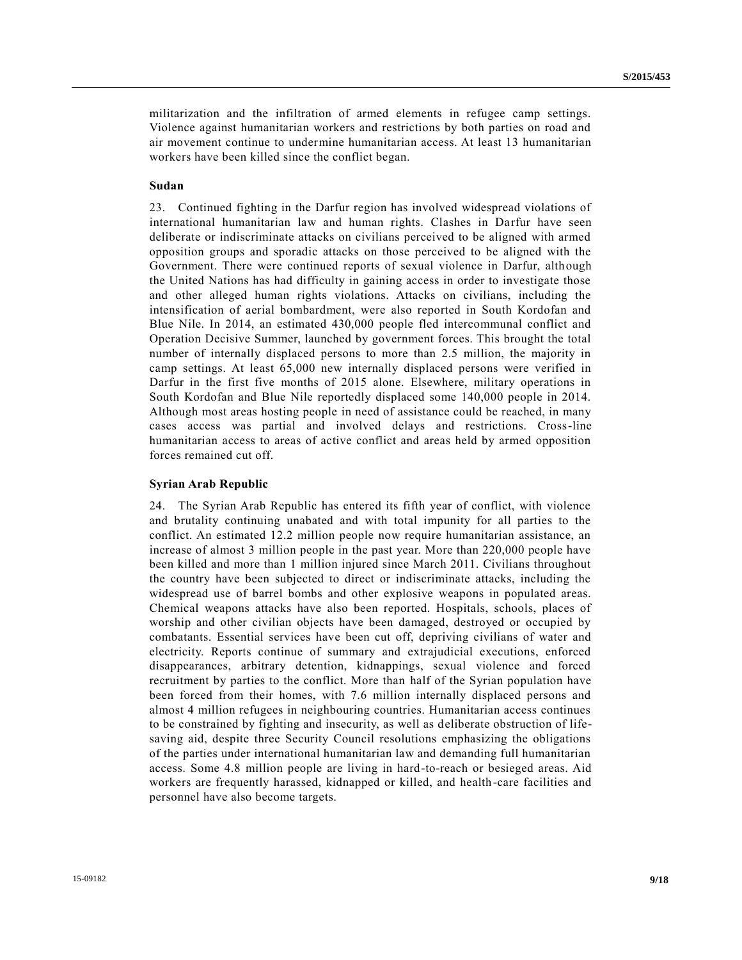militarization and the infiltration of armed elements in refugee camp settings. Violence against humanitarian workers and restrictions by both parties on road and air movement continue to undermine humanitarian access. At least 13 humanitarian workers have been killed since the conflict began.

## **Sudan**

23. Continued fighting in the Darfur region has involved widespread violations of international humanitarian law and human rights. Clashes in Darfur have seen deliberate or indiscriminate attacks on civilians perceived to be aligned with armed opposition groups and sporadic attacks on those perceived to be aligned with the Government. There were continued reports of sexual violence in Darfur, although the United Nations has had difficulty in gaining access in order to investigate those and other alleged human rights violations. Attacks on civilians, including the intensification of aerial bombardment, were also reported in South Kordofan and Blue Nile. In 2014, an estimated 430,000 people fled intercommunal conflict and Operation Decisive Summer, launched by government forces. This brought the total number of internally displaced persons to more than 2.5 million, the majority in camp settings. At least 65,000 new internally displaced persons were verified in Darfur in the first five months of 2015 alone. Elsewhere, military operations in South Kordofan and Blue Nile reportedly displaced some 140,000 people in 2014. Although most areas hosting people in need of assistance could be reached, in many cases access was partial and involved delays and restrictions. Cross-line humanitarian access to areas of active conflict and areas held by armed opposition forces remained cut off.

## **Syrian Arab Republic**

24. The Syrian Arab Republic has entered its fifth year of conflict, with violence and brutality continuing unabated and with total impunity for all parties to the conflict. An estimated 12.2 million people now require humanitarian assistance, an increase of almost 3 million people in the past year. More than 220,000 people have been killed and more than 1 million injured since March 2011. Civilians throughout the country have been subjected to direct or indiscriminate attacks, including the widespread use of barrel bombs and other explosive weapons in populated areas. Chemical weapons attacks have also been reported. Hospitals, schools, places of worship and other civilian objects have been damaged, destroyed or occupied by combatants. Essential services have been cut off, depriving civilians of water and electricity. Reports continue of summary and extrajudicial executions, enforced disappearances, arbitrary detention, kidnappings, sexual violence and forced recruitment by parties to the conflict. More than half of the Syrian population have been forced from their homes, with 7.6 million internally displaced persons and almost 4 million refugees in neighbouring countries. Humanitarian access continues to be constrained by fighting and insecurity, as well as deliberate obstruction of lifesaving aid, despite three Security Council resolutions emphasizing the obligations of the parties under international humanitarian law and demanding full humanitarian access. Some 4.8 million people are living in hard-to-reach or besieged areas. Aid workers are frequently harassed, kidnapped or killed, and health-care facilities and personnel have also become targets.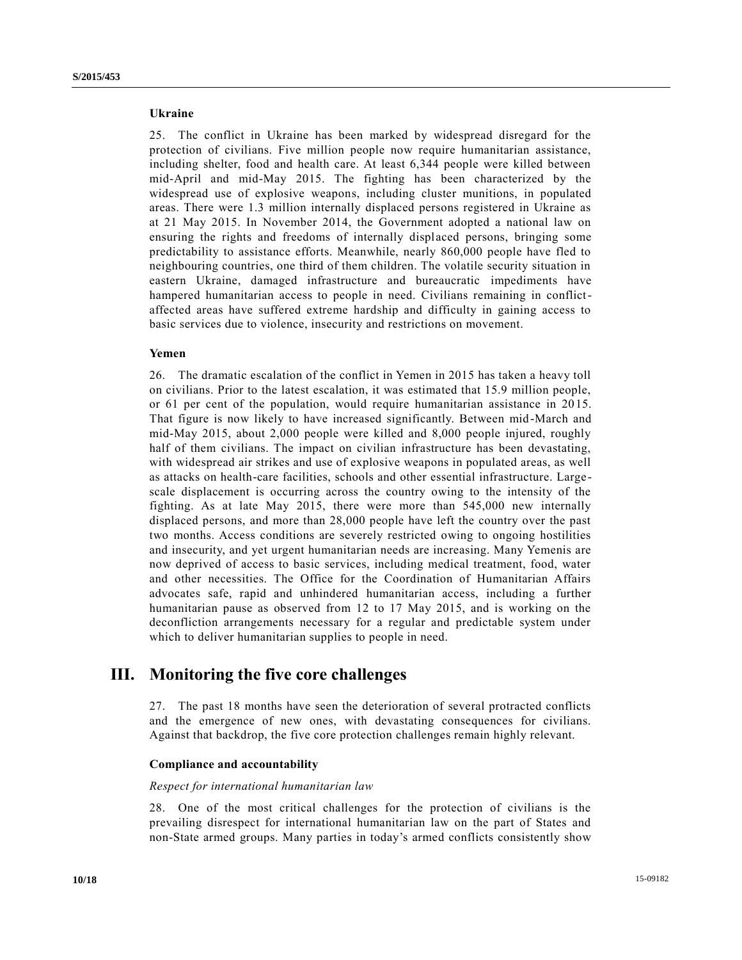## **Ukraine**

25. The conflict in Ukraine has been marked by widespread disregard for the protection of civilians. Five million people now require humanitarian assistance, including shelter, food and health care. At least 6,344 people were killed between mid-April and mid-May 2015. The fighting has been characterized by the widespread use of explosive weapons, including cluster munitions, in populated areas. There were 1.3 million internally displaced persons registered in Ukraine as at 21 May 2015. In November 2014, the Government adopted a national law on ensuring the rights and freedoms of internally displaced persons, bringing some predictability to assistance efforts. Meanwhile, nearly 860,000 people have fled to neighbouring countries, one third of them children. The volatile security situation in eastern Ukraine, damaged infrastructure and bureaucratic impediments have hampered humanitarian access to people in need. Civilians remaining in conflictaffected areas have suffered extreme hardship and difficulty in gaining access to basic services due to violence, insecurity and restrictions on movement.

### **Yemen**

26. The dramatic escalation of the conflict in Yemen in 2015 has taken a heavy toll on civilians. Prior to the latest escalation, it was estimated that 15.9 million people, or 61 per cent of the population, would require humanitarian assistance in 20 15. That figure is now likely to have increased significantly. Between mid -March and mid-May 2015, about 2,000 people were killed and 8,000 people injured, roughly half of them civilians. The impact on civilian infrastructure has been devastating, with widespread air strikes and use of explosive weapons in populated areas, as well as attacks on health-care facilities, schools and other essential infrastructure. Large scale displacement is occurring across the country owing to the intensity of the fighting. As at late May 2015, there were more than 545,000 new internally displaced persons, and more than 28,000 people have left the country over the past two months. Access conditions are severely restricted owing to ongoing hostilities and insecurity, and yet urgent humanitarian needs are increasing. Many Yemenis are now deprived of access to basic services, including medical treatment, food, water and other necessities. The Office for the Coordination of Humanitarian Affairs advocates safe, rapid and unhindered humanitarian access, including a further humanitarian pause as observed from 12 to 17 May 2015, and is working on the deconfliction arrangements necessary for a regular and predictable system under which to deliver humanitarian supplies to people in need.

## **III. Monitoring the five core challenges**

27. The past 18 months have seen the deterioration of several protracted conflicts and the emergence of new ones, with devastating consequences for civilians. Against that backdrop, the five core protection challenges remain highly relevant.

### **Compliance and accountability**

*Respect for international humanitarian law*

28. One of the most critical challenges for the protection of civilians is the prevailing disrespect for international humanitarian law on the part of States and non-State armed groups. Many parties in today's armed conflicts consistently show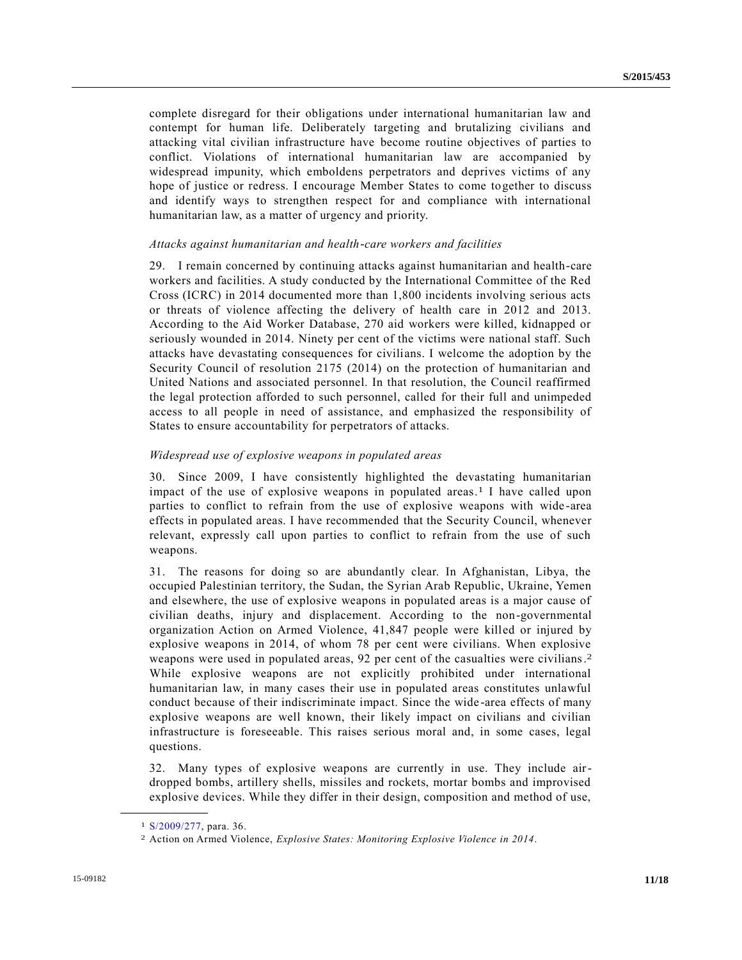complete disregard for their obligations under international humanitarian law and contempt for human life. Deliberately targeting and brutalizing civilians and attacking vital civilian infrastructure have become routine objectives of parties to conflict. Violations of international humanitarian law are accompanied by widespread impunity, which emboldens perpetrators and deprives victims of any hope of justice or redress. I encourage Member States to come together to discuss and identify ways to strengthen respect for and compliance with international humanitarian law, as a matter of urgency and priority.

## *Attacks against humanitarian and health-care workers and facilities*

29. I remain concerned by continuing attacks against humanitarian and health-care workers and facilities. A study conducted by the International Committee of the Red Cross (ICRC) in 2014 documented more than 1,800 incidents involving serious acts or threats of violence affecting the delivery of health care in 2012 and 2013. According to the Aid Worker Database, 270 aid workers were killed, kidnapped or seriously wounded in 2014. Ninety per cent of the victims were national staff. Such attacks have devastating consequences for civilians. I welcome the adoption by the Security Council of resolution 2175 (2014) on the protection of humanitarian and United Nations and associated personnel. In that resolution, the Council reaffirmed the legal protection afforded to such personnel, called for their full and unimpeded access to all people in need of assistance, and emphasized the responsibility of States to ensure accountability for perpetrators of attacks.

## *Widespread use of explosive weapons in populated areas*

30. Since 2009, I have consistently highlighted the devastating humanitarian impact of the use of explosive weapons in populated areas. 1 I have called upon parties to conflict to refrain from the use of explosive weapons with wide -area effects in populated areas. I have recommended that the Security Council, whenever relevant, expressly call upon parties to conflict to refrain from the use of such weapons.

31. The reasons for doing so are abundantly clear. In Afghanistan, Libya, the occupied Palestinian territory, the Sudan, the Syrian Arab Republic, Ukraine, Yemen and elsewhere, the use of explosive weapons in populated areas is a major cause of civilian deaths, injury and displacement. According to the non-governmental organization Action on Armed Violence, 41,847 people were killed or injured by explosive weapons in 2014, of whom 78 per cent were civilians. When explosive weapons were used in populated areas, 92 per cent of the casualties were civilians.<sup>2</sup> While explosive weapons are not explicitly prohibited under international humanitarian law, in many cases their use in populated areas constitutes unlawful conduct because of their indiscriminate impact. Since the wide -area effects of many explosive weapons are well known, their likely impact on civilians and civilian infrastructure is foreseeable. This raises serious moral and, in some cases, legal questions.

32. Many types of explosive weapons are currently in use. They include airdropped bombs, artillery shells, missiles and rockets, mortar bombs and improvised explosive devices. While they differ in their design, composition and method of use,

**\_\_\_\_\_\_\_\_\_\_\_\_\_\_\_\_\_\_**

<sup>1</sup> [S/2009/277,](http://undocs.org/S/2009/277) para. 36.

<sup>2</sup> Action on Armed Violence, *Explosive States: Monitoring Explosive Violence in 2014*.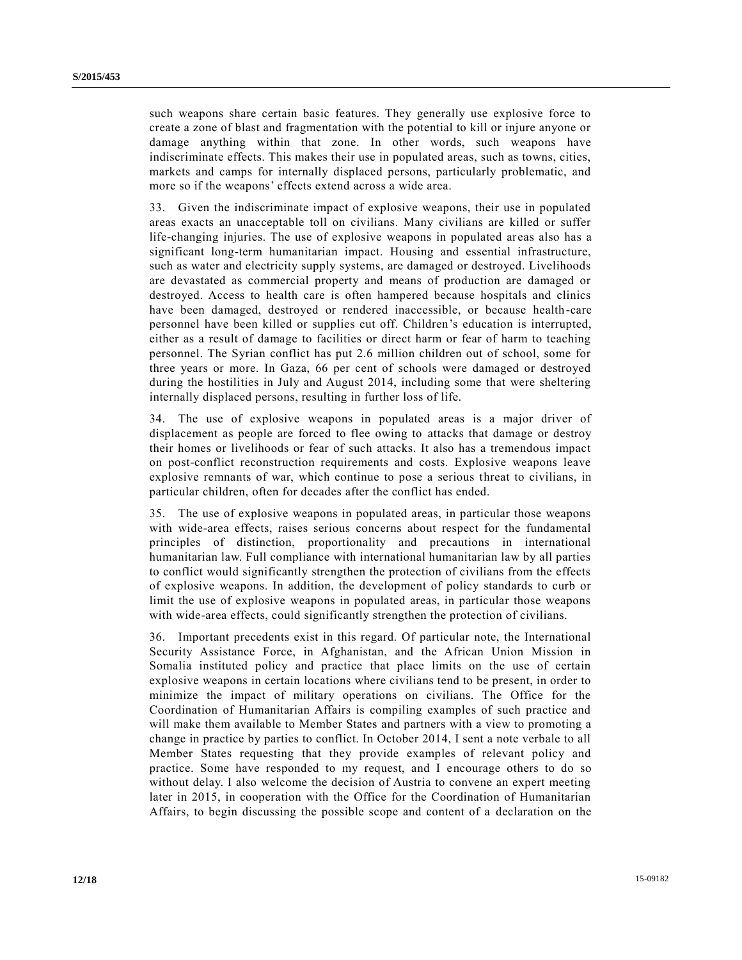such weapons share certain basic features. They generally use explosive force to create a zone of blast and fragmentation with the potential to kill or injure anyone or damage anything within that zone. In other words, such weapons have indiscriminate effects. This makes their use in populated areas, such as towns, cities, markets and camps for internally displaced persons, particularly problematic, and more so if the weapons' effects extend across a wide area.

33. Given the indiscriminate impact of explosive weapons, their use in populated areas exacts an unacceptable toll on civilians. Many civilians are killed or suffer life-changing injuries. The use of explosive weapons in populated areas also has a significant long-term humanitarian impact. Housing and essential infrastructure, such as water and electricity supply systems, are damaged or destroyed. Livelihoods are devastated as commercial property and means of production are damaged or destroyed. Access to health care is often hampered because hospitals and clinics have been damaged, destroyed or rendered inaccessible, or because health -care personnel have been killed or supplies cut off. Children's education is interrupted, either as a result of damage to facilities or direct harm or fear of harm to teaching personnel. The Syrian conflict has put 2.6 million children out of school, some for three years or more. In Gaza, 66 per cent of schools were damaged or destroyed during the hostilities in July and August 2014, including some that were sheltering internally displaced persons, resulting in further loss of life.

34. The use of explosive weapons in populated areas is a major driver of displacement as people are forced to flee owing to attacks that damage or destroy their homes or livelihoods or fear of such attacks. It also has a tremendous impact on post-conflict reconstruction requirements and costs. Explosive weapons leave explosive remnants of war, which continue to pose a serious threat to civilians, in particular children, often for decades after the conflict has ended.

35. The use of explosive weapons in populated areas, in particular those weapons with wide-area effects, raises serious concerns about respect for the fundamental principles of distinction, proportionality and precautions in international humanitarian law. Full compliance with international humanitarian law by all parties to conflict would significantly strengthen the protection of civilians from the effects of explosive weapons. In addition, the development of policy standards to curb or limit the use of explosive weapons in populated areas, in particular those weapons with wide-area effects, could significantly strengthen the protection of civilians.

36. Important precedents exist in this regard. Of particular note, the International Security Assistance Force, in Afghanistan, and the African Union Mission in Somalia instituted policy and practice that place limits on the use of certain explosive weapons in certain locations where civilians tend to be present, in order to minimize the impact of military operations on civilians. The Office for the Coordination of Humanitarian Affairs is compiling examples of such practice and will make them available to Member States and partners with a view to promoting a change in practice by parties to conflict. In October 2014, I sent a note verbale to all Member States requesting that they provide examples of relevant policy and practice. Some have responded to my request, and I encourage others to do so without delay. I also welcome the decision of Austria to convene an expert meeting later in 2015, in cooperation with the Office for the Coordination of Humanitarian Affairs, to begin discussing the possible scope and content of a declaration on the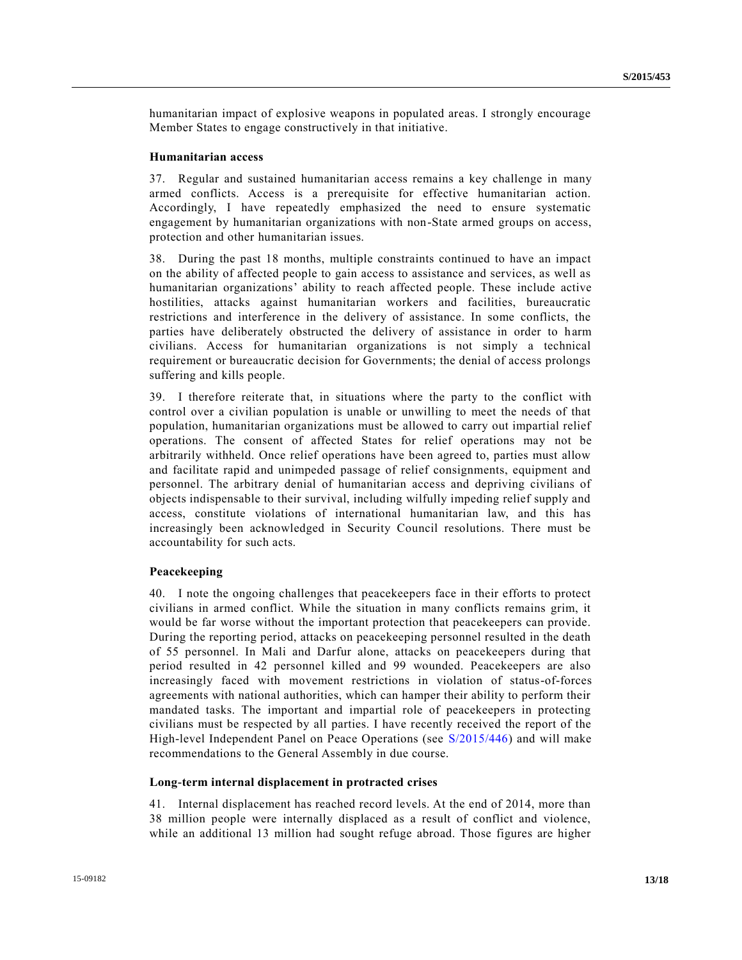humanitarian impact of explosive weapons in populated areas. I strongly encourage Member States to engage constructively in that initiative.

### **Humanitarian access**

37. Regular and sustained humanitarian access remains a key challenge in many armed conflicts. Access is a prerequisite for effective humanitarian action. Accordingly, I have repeatedly emphasized the need to ensure systematic engagement by humanitarian organizations with non-State armed groups on access, protection and other humanitarian issues.

38. During the past 18 months, multiple constraints continued to have an impact on the ability of affected people to gain access to assistance and services, as well as humanitarian organizations' ability to reach affected people. These include active hostilities, attacks against humanitarian workers and facilities, bureaucratic restrictions and interference in the delivery of assistance. In some conflicts, the parties have deliberately obstructed the delivery of assistance in order to harm civilians. Access for humanitarian organizations is not simply a technical requirement or bureaucratic decision for Governments; the denial of access prolongs suffering and kills people.

39. I therefore reiterate that, in situations where the party to the conflict with control over a civilian population is unable or unwilling to meet the needs of that population, humanitarian organizations must be allowed to carry out impartial relief operations. The consent of affected States for relief operations may not be arbitrarily withheld. Once relief operations have been agreed to, parties must allow and facilitate rapid and unimpeded passage of relief consignments, equipment and personnel. The arbitrary denial of humanitarian access and depriving civilians of objects indispensable to their survival, including wilfully impeding relief supply and access, constitute violations of international humanitarian law, and this has increasingly been acknowledged in Security Council resolutions. There must be accountability for such acts.

## **Peacekeeping**

40. I note the ongoing challenges that peacekeepers face in their efforts to protect civilians in armed conflict. While the situation in many conflicts remains grim, it would be far worse without the important protection that peacekeepers can provide. During the reporting period, attacks on peacekeeping personnel resulted in the death of 55 personnel. In Mali and Darfur alone, attacks on peacekeepers during that period resulted in 42 personnel killed and 99 wounded. Peacekeepers are also increasingly faced with movement restrictions in violation of status-of-forces agreements with national authorities, which can hamper their ability to perform their mandated tasks. The important and impartial role of peacekeepers in protecting civilians must be respected by all parties. I have recently received the report of the High-level Independent Panel on Peace Operations (see [S/2015/446\)](http://undocs.org/S/2015/446) and will make recommendations to the General Assembly in due course.

#### **Long-term internal displacement in protracted crises**

41. Internal displacement has reached record levels. At the end of 2014, more than 38 million people were internally displaced as a result of conflict and violence, while an additional 13 million had sought refuge abroad. Those figures are higher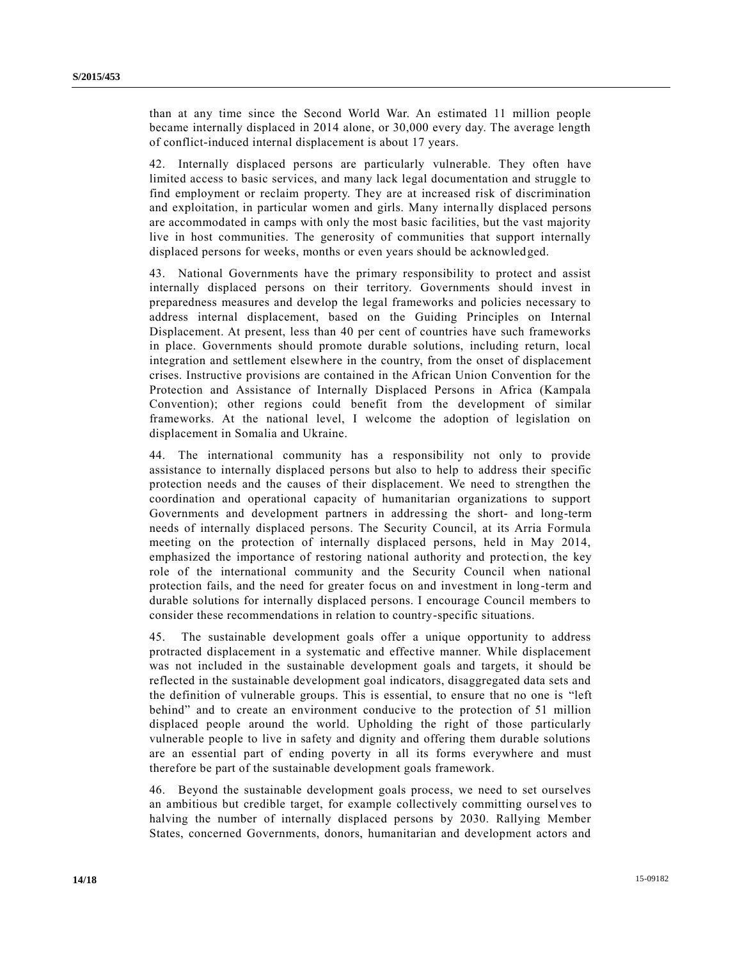than at any time since the Second World War. An estimated 11 million people became internally displaced in 2014 alone, or 30,000 every day. The average length of conflict-induced internal displacement is about 17 years.

42. Internally displaced persons are particularly vulnerable. They often have limited access to basic services, and many lack legal documentation and struggle to find employment or reclaim property. They are at increased risk of discrimination and exploitation, in particular women and girls. Many internally displaced persons are accommodated in camps with only the most basic facilities, but the vast majority live in host communities. The generosity of communities that support internally displaced persons for weeks, months or even years should be acknowledged.

43. National Governments have the primary responsibility to protect and assist internally displaced persons on their territory. Governments should invest in preparedness measures and develop the legal frameworks and policies necessary to address internal displacement, based on the Guiding Principles on Internal Displacement. At present, less than 40 per cent of countries have such frameworks in place. Governments should promote durable solutions, including return, local integration and settlement elsewhere in the country, from the onset of displacement crises. Instructive provisions are contained in the African Union Convention for the Protection and Assistance of Internally Displaced Persons in Africa (Kampala Convention); other regions could benefit from the development of similar frameworks. At the national level, I welcome the adoption of legislation on displacement in Somalia and Ukraine.

44. The international community has a responsibility not only to provide assistance to internally displaced persons but also to help to address their specific protection needs and the causes of their displacement. We need to strengthen the coordination and operational capacity of humanitarian organizations to support Governments and development partners in addressing the short- and long-term needs of internally displaced persons. The Security Council, at its Arria Formula meeting on the protection of internally displaced persons, held in May 2014, emphasized the importance of restoring national authority and protection, the key role of the international community and the Security Council when national protection fails, and the need for greater focus on and investment in long -term and durable solutions for internally displaced persons. I encourage Council members to consider these recommendations in relation to country-specific situations.

45. The sustainable development goals offer a unique opportunity to address protracted displacement in a systematic and effective manner. While displacement was not included in the sustainable development goals and targets, it should be reflected in the sustainable development goal indicators, disaggregated data sets and the definition of vulnerable groups. This is essential, to ensure that no one is "left behind" and to create an environment conducive to the protection of 51 million displaced people around the world. Upholding the right of those particularly vulnerable people to live in safety and dignity and offering them durable solutions are an essential part of ending poverty in all its forms everywhere and must therefore be part of the sustainable development goals framework.

46. Beyond the sustainable development goals process, we need to set ourselves an ambitious but credible target, for example collectively committing ourselves to halving the number of internally displaced persons by 2030. Rallying Member States, concerned Governments, donors, humanitarian and development actors and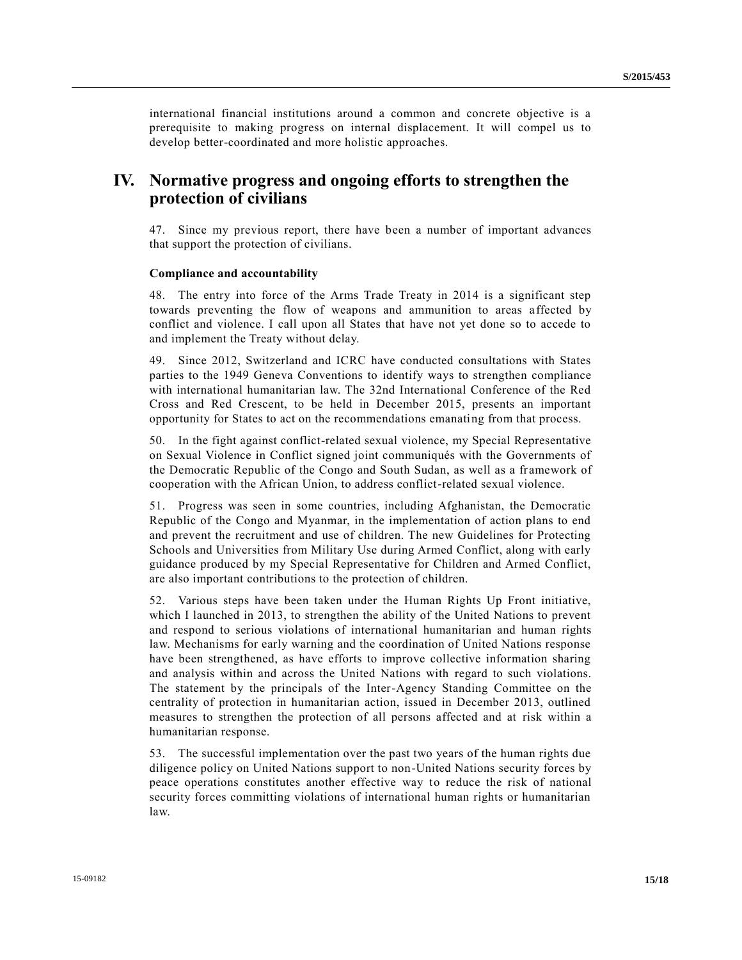international financial institutions around a common and concrete objective is a prerequisite to making progress on internal displacement. It will compel us to develop better-coordinated and more holistic approaches.

# **IV. Normative progress and ongoing efforts to strengthen the protection of civilians**

47. Since my previous report, there have been a number of important advances that support the protection of civilians.

### **Compliance and accountability**

48. The entry into force of the Arms Trade Treaty in 2014 is a significant step towards preventing the flow of weapons and ammunition to areas a ffected by conflict and violence. I call upon all States that have not yet done so to accede to and implement the Treaty without delay.

49. Since 2012, Switzerland and ICRC have conducted consultations with States parties to the 1949 Geneva Conventions to identify ways to strengthen compliance with international humanitarian law. The 32nd International Conference of the Red Cross and Red Crescent, to be held in December 2015, presents an important opportunity for States to act on the recommendations emanating from that process.

50. In the fight against conflict-related sexual violence, my Special Representative on Sexual Violence in Conflict signed joint communiqués with the Governments of the Democratic Republic of the Congo and South Sudan, as well as a framework of cooperation with the African Union, to address conflict-related sexual violence.

51. Progress was seen in some countries, including Afghanistan, the Democratic Republic of the Congo and Myanmar, in the implementation of action plans to end and prevent the recruitment and use of children. The new Guidelines for Protecting Schools and Universities from Military Use during Armed Conflict, along with early guidance produced by my Special Representative for Children and Armed Conflict, are also important contributions to the protection of children.

52. Various steps have been taken under the Human Rights Up Front initiative, which I launched in 2013, to strengthen the ability of the United Nations to prevent and respond to serious violations of international humanitarian and human rights law. Mechanisms for early warning and the coordination of United Nations response have been strengthened, as have efforts to improve collective information sharing and analysis within and across the United Nations with regard to such violations. The statement by the principals of the Inter-Agency Standing Committee on the centrality of protection in humanitarian action, issued in December 2013, outlined measures to strengthen the protection of all persons affected and at risk within a humanitarian response.

53. The successful implementation over the past two years of the human rights due diligence policy on United Nations support to non-United Nations security forces by peace operations constitutes another effective way to reduce the risk of national security forces committing violations of international human rights or humanitarian law.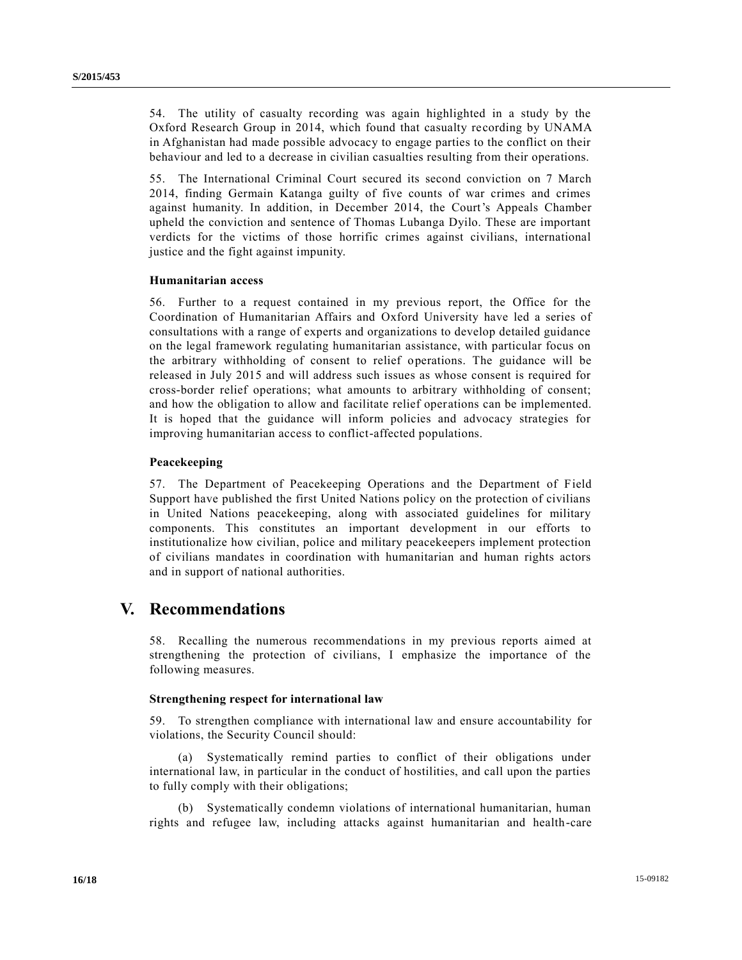54. The utility of casualty recording was again highlighted in a study by the Oxford Research Group in 2014, which found that casualty recording by UNAMA in Afghanistan had made possible advocacy to engage parties to the conflict on their behaviour and led to a decrease in civilian casualties resulting from their operations.

55. The International Criminal Court secured its second conviction on 7 March 2014, finding Germain Katanga guilty of five counts of war crimes and crimes against humanity. In addition, in December 2014, the Court's Appeals Chamber upheld the conviction and sentence of Thomas Lubanga Dyilo. These are important verdicts for the victims of those horrific crimes against civilians, international justice and the fight against impunity.

## **Humanitarian access**

56. Further to a request contained in my previous report, the Office for the Coordination of Humanitarian Affairs and Oxford University have led a series of consultations with a range of experts and organizations to develop detailed guidance on the legal framework regulating humanitarian assistance, with particular focus on the arbitrary withholding of consent to relief operations. The guidance will be released in July 2015 and will address such issues as whose consent is required for cross-border relief operations; what amounts to arbitrary withholding of consent; and how the obligation to allow and facilitate relief operations can be implemented. It is hoped that the guidance will inform policies and advocacy strategies for improving humanitarian access to conflict-affected populations.

## **Peacekeeping**

57. The Department of Peacekeeping Operations and the Department of Field Support have published the first United Nations policy on the protection of civilians in United Nations peacekeeping, along with associated guidelines for military components. This constitutes an important development in our efforts to institutionalize how civilian, police and military peacekeepers implement protection of civilians mandates in coordination with humanitarian and human rights actors and in support of national authorities.

## **V. Recommendations**

58. Recalling the numerous recommendations in my previous reports aimed at strengthening the protection of civilians, I emphasize the importance of the following measures.

## **Strengthening respect for international law**

59. To strengthen compliance with international law and ensure accountability for violations, the Security Council should:

(a) Systematically remind parties to conflict of their obligations under international law, in particular in the conduct of hostilities, and call upon the parties to fully comply with their obligations;

(b) Systematically condemn violations of international humanitarian, human rights and refugee law, including attacks against humanitarian and health-care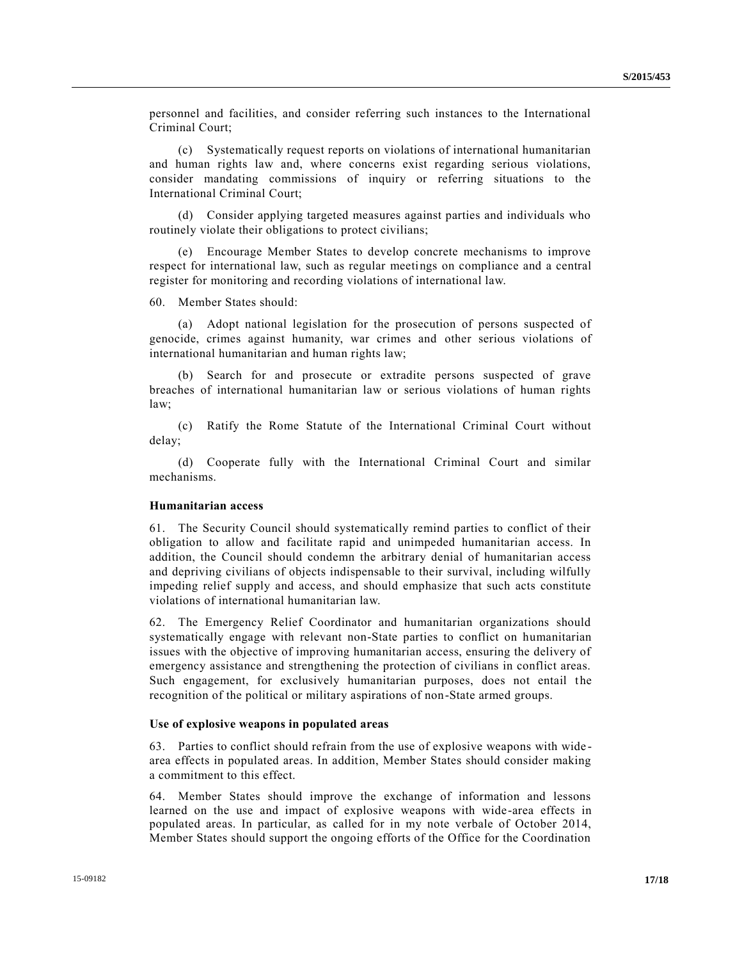personnel and facilities, and consider referring such instances to the International Criminal Court;

(c) Systematically request reports on violations of international humanitarian and human rights law and, where concerns exist regarding serious violations, consider mandating commissions of inquiry or referring situations to the International Criminal Court;

(d) Consider applying targeted measures against parties and individuals who routinely violate their obligations to protect civilians;

Encourage Member States to develop concrete mechanisms to improve respect for international law, such as regular meetings on compliance and a central register for monitoring and recording violations of international law.

60. Member States should:

(a) Adopt national legislation for the prosecution of persons suspected of genocide, crimes against humanity, war crimes and other serious violations of international humanitarian and human rights law;

(b) Search for and prosecute or extradite persons suspected of grave breaches of international humanitarian law or serious violations of human rights law;

(c) Ratify the Rome Statute of the International Criminal Court without delay;

(d) Cooperate fully with the International Criminal Court and similar mechanisms.

## **Humanitarian access**

61. The Security Council should systematically remind parties to conflict of their obligation to allow and facilitate rapid and unimpeded humanitarian access. In addition, the Council should condemn the arbitrary denial of humanitarian access and depriving civilians of objects indispensable to their survival, including wilfully impeding relief supply and access, and should emphasize that such acts constitute violations of international humanitarian law.

62. The Emergency Relief Coordinator and humanitarian organizations should systematically engage with relevant non-State parties to conflict on humanitarian issues with the objective of improving humanitarian access, ensuring the delivery of emergency assistance and strengthening the protection of civilians in conflict areas. Such engagement, for exclusively humanitarian purposes, does not entail the recognition of the political or military aspirations of non-State armed groups.

### **Use of explosive weapons in populated areas**

63. Parties to conflict should refrain from the use of explosive weapons with wide area effects in populated areas. In addition, Member States should consider making a commitment to this effect.

64. Member States should improve the exchange of information and lessons learned on the use and impact of explosive weapons with wide-area effects in populated areas. In particular, as called for in my note verbale of October 2014, Member States should support the ongoing efforts of the Office for the Coordination